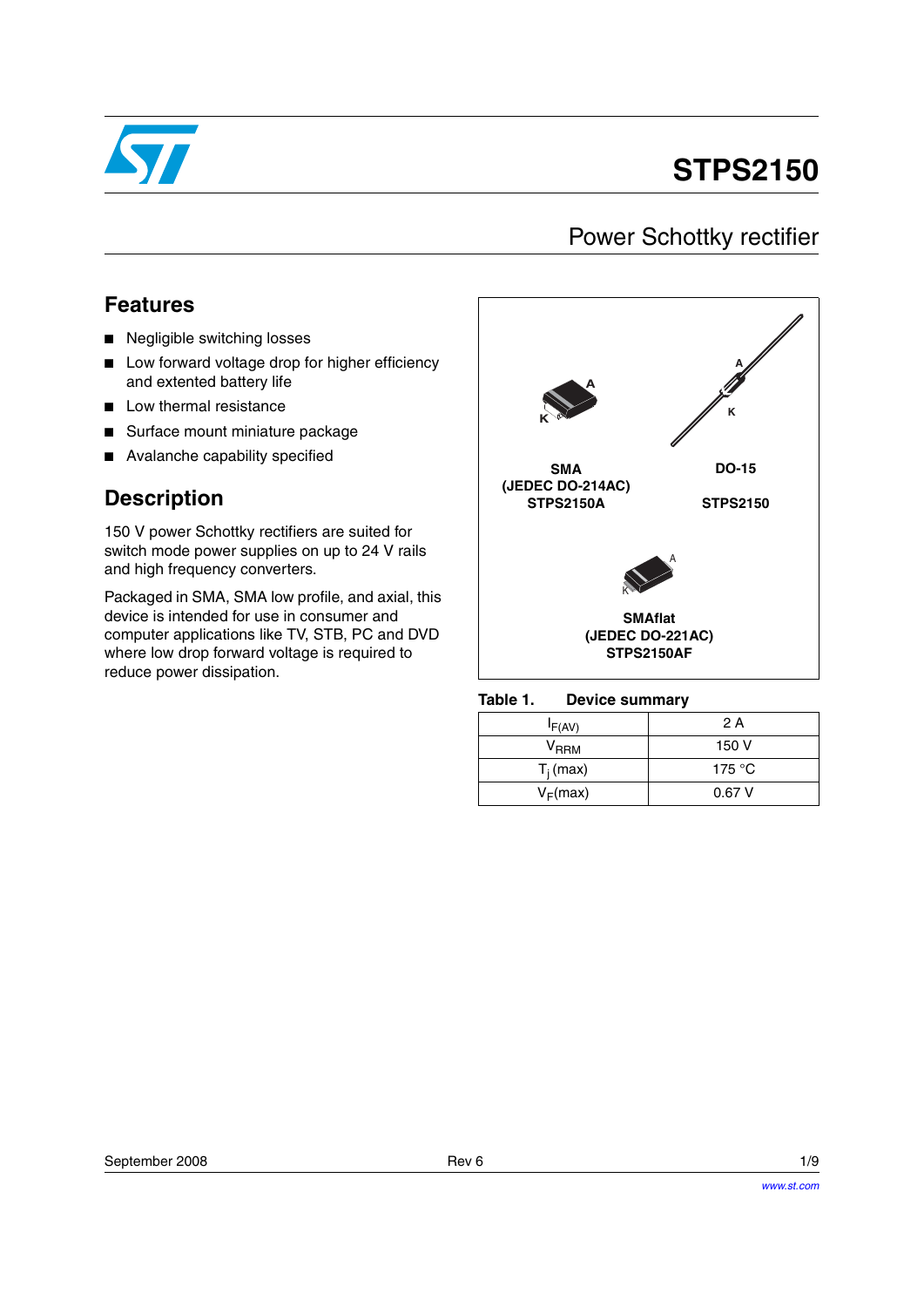

# **STPS2150**

## Power Schottky rectifier

### **Features**

- Negligible switching losses
- Low forward voltage drop for higher efficiency and extented battery life
- Low thermal resistance
- Surface mount miniature package
- Avalanche capability specified

### **Description**

150 V power Schottky rectifiers are suited for switch mode power supplies on up to 24 V rails and high frequency converters.

Packaged in SMA, SMA low profile, and axial, this device is intended for use in consumer and computer applications like TV, STB, PC and DVD where low drop forward voltage is required to reduce power dissipation.



Table 1. **Device summary** 

| $I_{F(AV)}$      | 2 A    |
|------------------|--------|
| V <sub>RRM</sub> | 150 V  |
| $T_i$ (max)      | 175 °C |
| $V_F(max)$       | 0.67V  |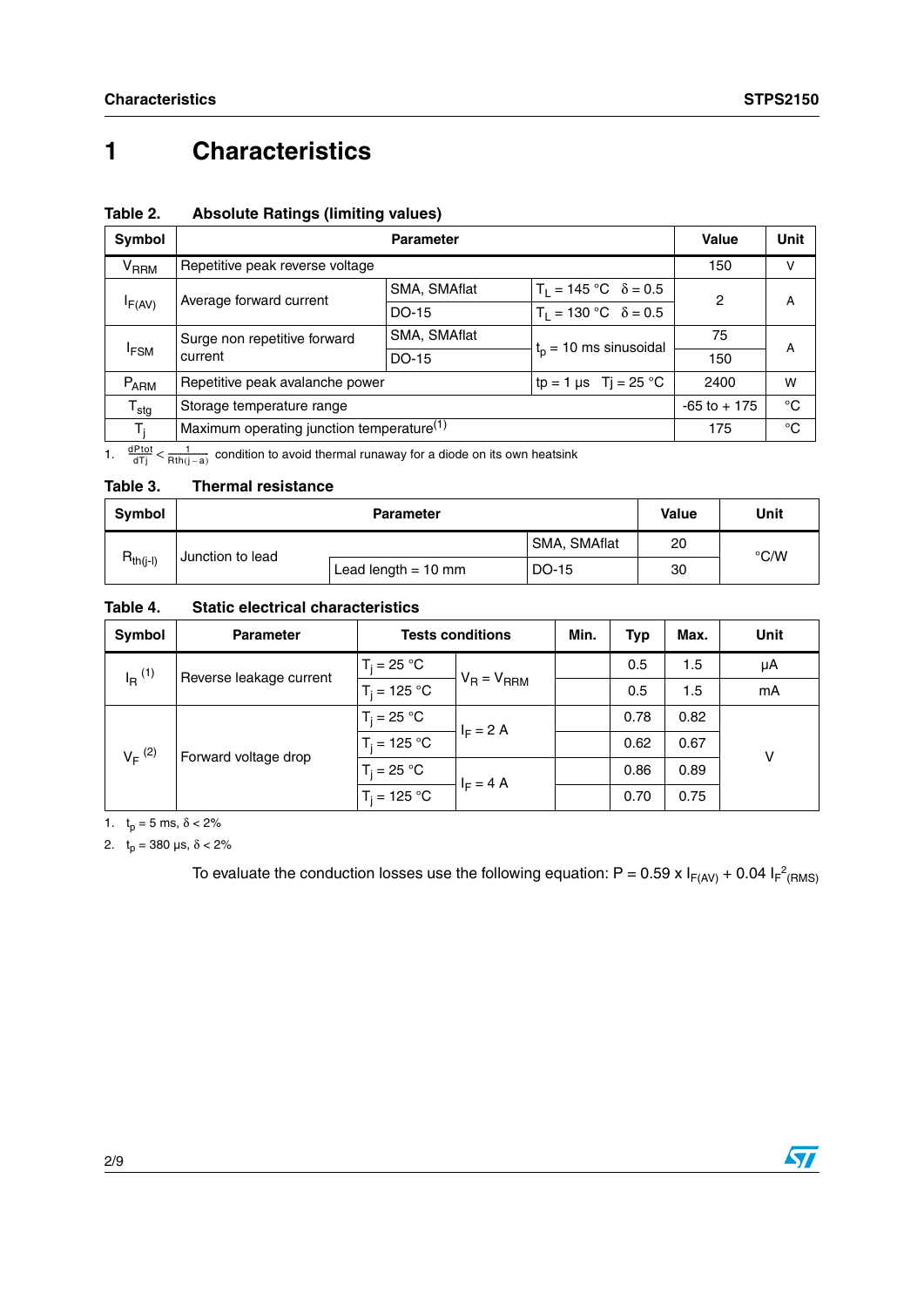# **1 Characteristics**

| Symbol                            |                                                         | <b>Parameter</b>              |                               | Value           | Unit         |  |
|-----------------------------------|---------------------------------------------------------|-------------------------------|-------------------------------|-----------------|--------------|--|
| $\mathsf{V}_\mathsf{RRM}$         | Repetitive peak reverse voltage                         |                               |                               | 150             | v            |  |
| Average forward current<br>IF(AV) | SMA, SMAflat                                            | $T_1 = 145$ °C $\delta = 0.5$ | 2                             | A               |              |  |
|                                   |                                                         | DO-15                         | $T_1 = 130 °C$ $\delta = 0.5$ |                 |              |  |
| Surge non repetitive forward      |                                                         | SMA, SMAflat                  | $tp$ = 10 ms sinusoidal       | 75              | A            |  |
| <sup>I</sup> FSM<br>current       |                                                         | DO-15                         |                               | 150             |              |  |
| $P_{ARM}$                         | tp = 1 µs Tj = 25 °C<br>Repetitive peak avalanche power |                               | 2400                          | w               |              |  |
| $T_{\text{stg}}$                  | Storage temperature range                               |                               |                               | $-65$ to $+175$ | $^{\circ}C$  |  |
| т.                                | Maximum operating junction temperature <sup>(1)</sup>   |                               |                               | 175             | $^{\circ}$ C |  |

### <span id="page-1-0"></span>**Table 2. Absolute Ratings (limiting values)**

1.  $\frac{dPtot}{dTj} < \frac{1}{Rth(j-a)}$  condition to avoid thermal runaway for a diode on its own heatsink

#### **Table 3. Thermal resistance**

| Symbol        | <b>Parameter</b> |                       |              | Value | Unit          |
|---------------|------------------|-----------------------|--------------|-------|---------------|
|               | Junction to lead |                       | SMA, SMAflat | 20    | $\degree$ C/W |
| $R_{th(j-l)}$ |                  | Lead length $= 10$ mm | DO-15        | 30    |               |

#### **Table 4. Static electrical characteristics**

| <b>Symbol</b>                                | <b>Parameter</b> | <b>Tests conditions</b> |             | Min. | Typ  | Max. | Unit |
|----------------------------------------------|------------------|-------------------------|-------------|------|------|------|------|
| $I_{\rm R}$ (1)                              |                  | $T_i = 25 °C$           |             |      | 0.5  | 1.5  | μA   |
| Reverse leakage current                      | $T_i = 125 °C$   | $V_R = V_{RRM}$         |             | 0.5  | 1.5  | mA   |      |
| $V_F$ <sup>(2)</sup><br>Forward voltage drop |                  | $T_i = 25 °C$           | $I_F = 2$ A |      | 0.78 | 0.82 |      |
|                                              |                  | $T_i = 125 °C$          |             |      | 0.62 | 0.67 | v    |
|                                              |                  | $T_i = 25 °C$           | $I_F = 4$ A |      | 0.86 | 0.89 |      |
|                                              |                  | $T_i = 125 °C$          |             |      | 0.70 | 0.75 |      |

1.  $t_p = 5$  ms,  $\delta < 2\%$ 

2.  $t_p = 380 \text{ }\mu\text{s}, \delta < 2\%$ 

To evaluate the conduction losses use the following equation: P = 0.59 x  $I_{F(AV)}$  + 0.04  $I_F^2$ <sub>(RMS)</sub>

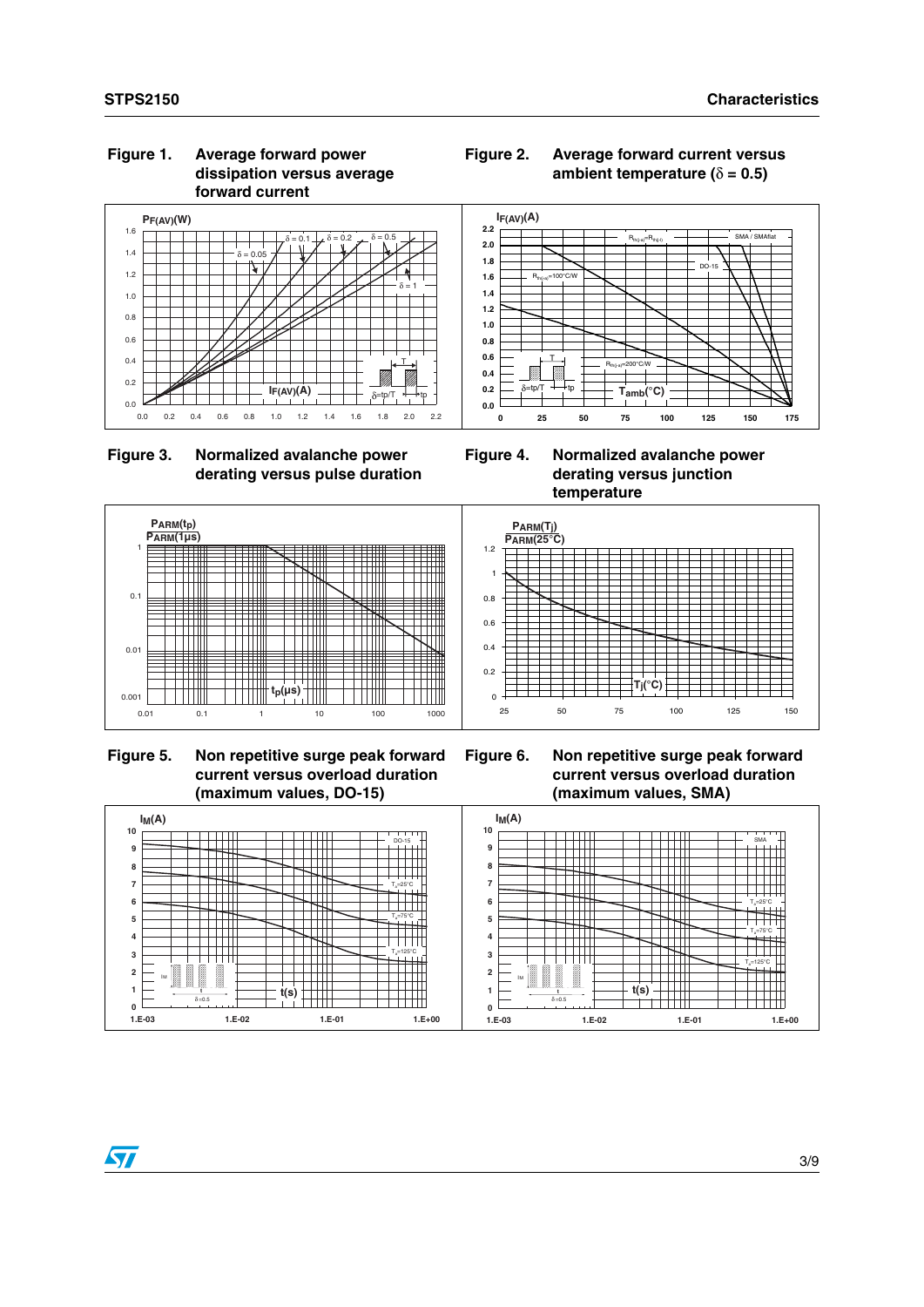#### **Figure 1. Average forward power dissipation versus average forward current**







**Figure 4. Normalized avalanche power derating versus junction temperature**



 **Figure 5. Non repetitive surge peak forward current versus overload duration (maximum values, DO-15)**



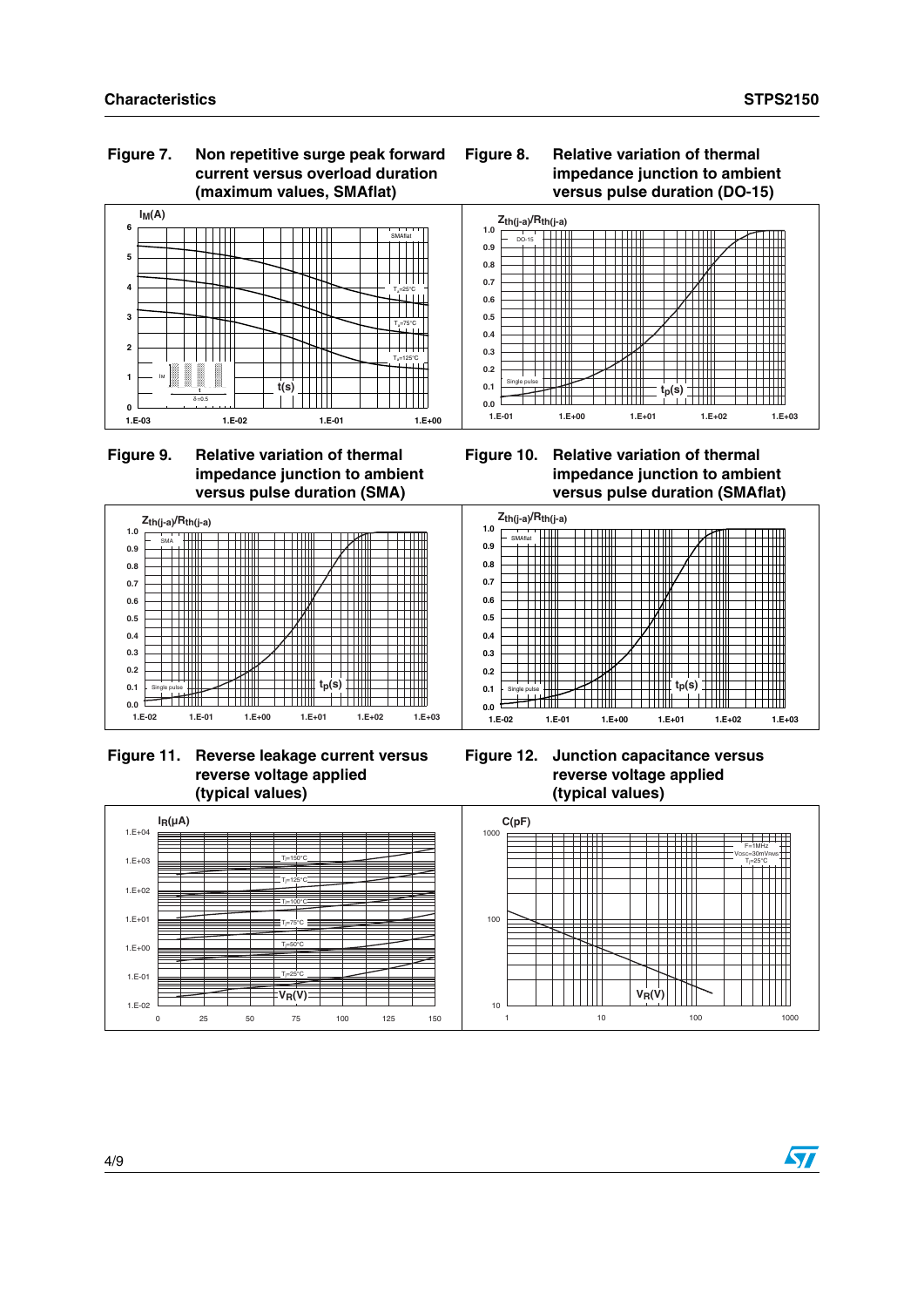#### **Figure 7. Non repetitive surge peak forward current versus overload duration (maximum values, SMAflat)**





### **Figure 9. Relative variation of thermal impedance junction to ambient versus pulse duration (SMA)**









**Figure 12. Junction capacitance versus reverse voltage applied (typical values)**



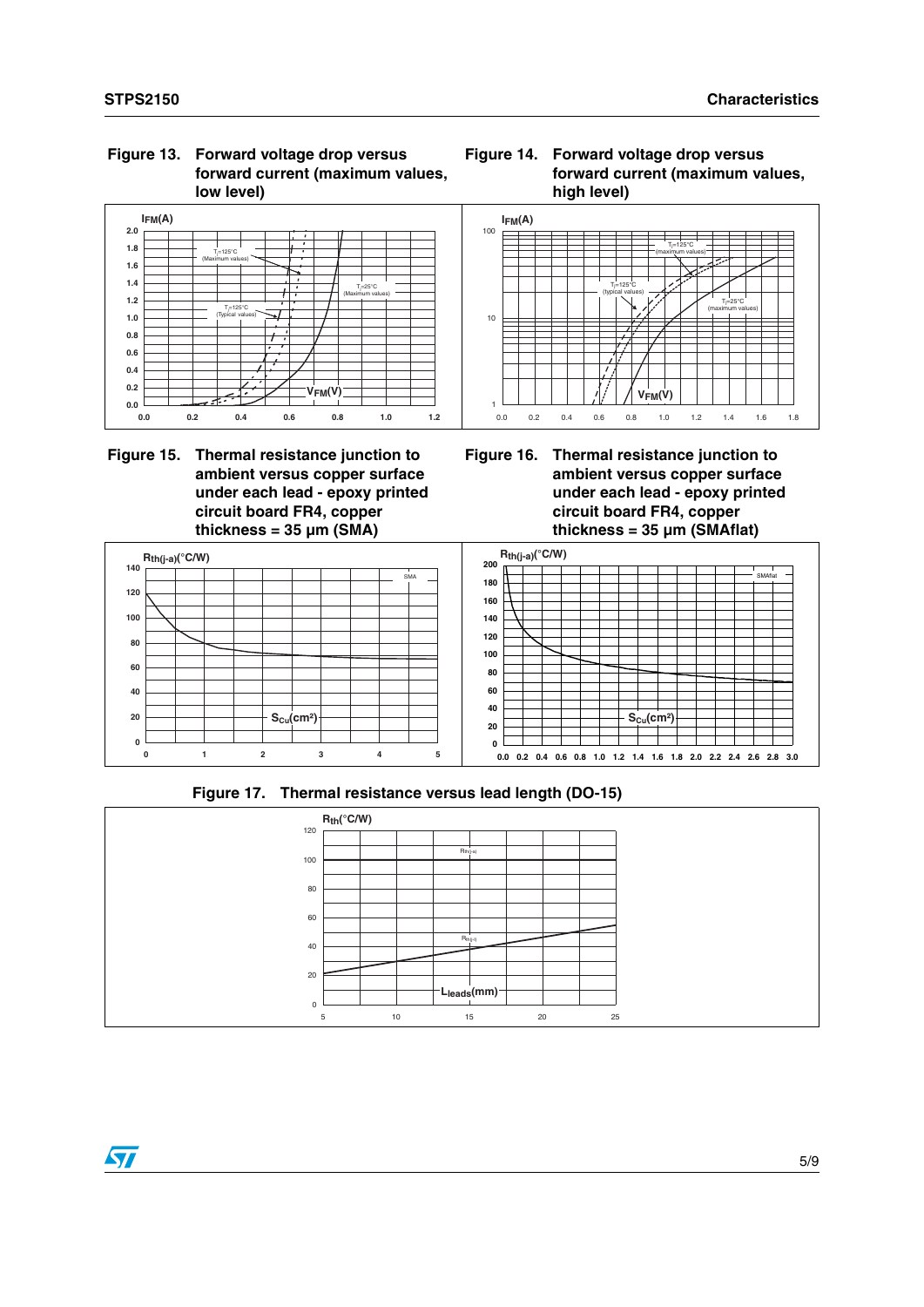#### **Figure 13. Forward voltage drop versus forward current (maximum values, low level)**



#### **Figure 15. Thermal resistance junction to ambient versus copper surface under each lead - epoxy printed circuit board FR4, copper thickness = 35 µm (SMA)**





**Figure 16. Thermal resistance junction to ambient versus copper surface under each lead - epoxy printed circuit board FR4, copper thickness = 35 µm (SMAflat)**



**Figure 17. Thermal resistance versus lead length (DO-15)**

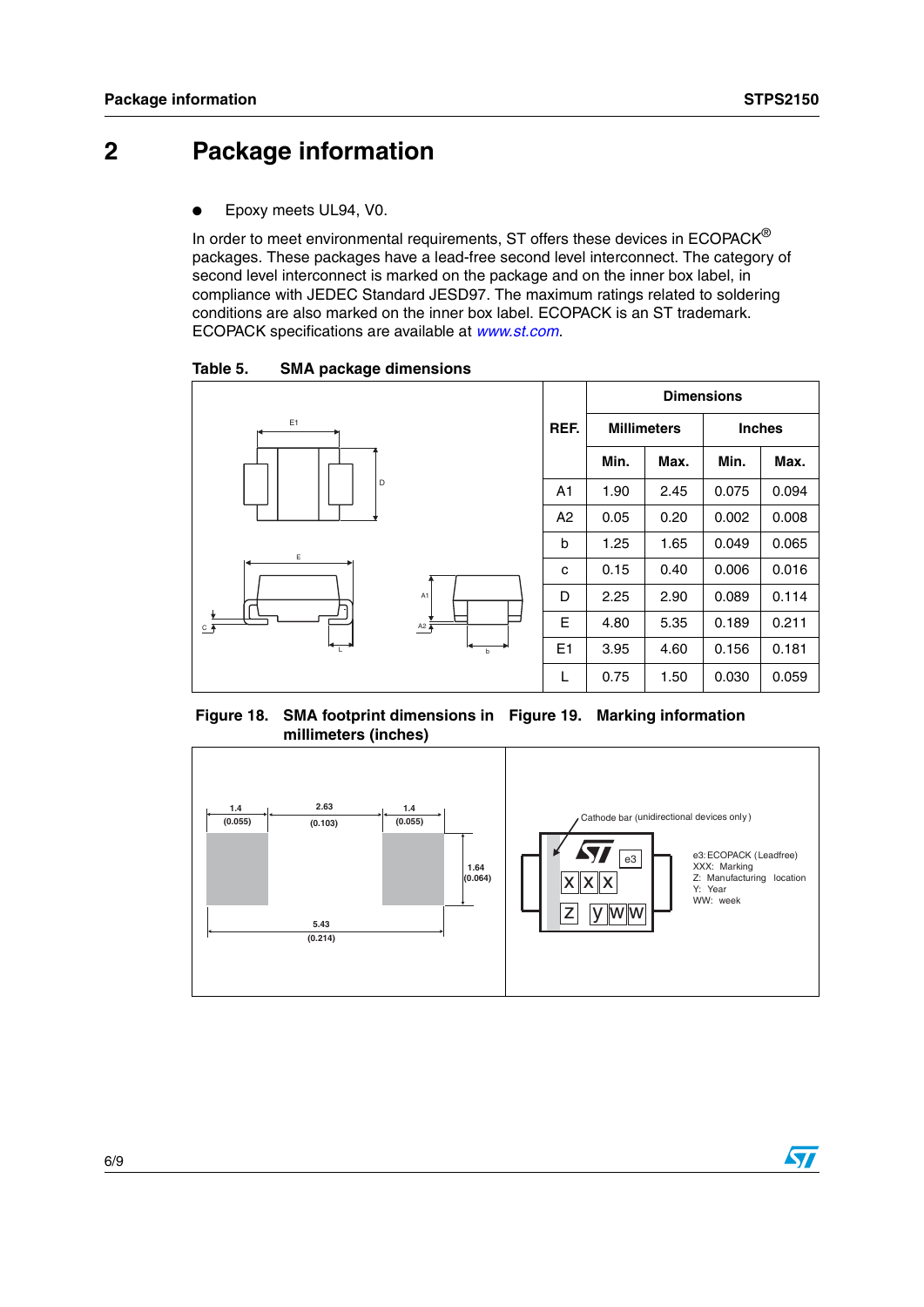## **2 Package information**

Epoxy meets UL94, V0.

In order to meet environmental requirements, ST offers these devices in ECOPACK® packages. These packages have a lead-free second level interconnect. The category of second level interconnect is marked on the package and on the inner box label, in compliance with JEDEC Standard JESD97. The maximum ratings related to soldering conditions are also marked on the inner box label. ECOPACK is an ST trademark. ECOPACK specifications are available at *[www.st.com](http://www.st.com)*.

Table 5. **SMA package dimensions** 



**Figure 18. SMA footprint dimensions in Figure 19. Marking information millimeters (inches)**

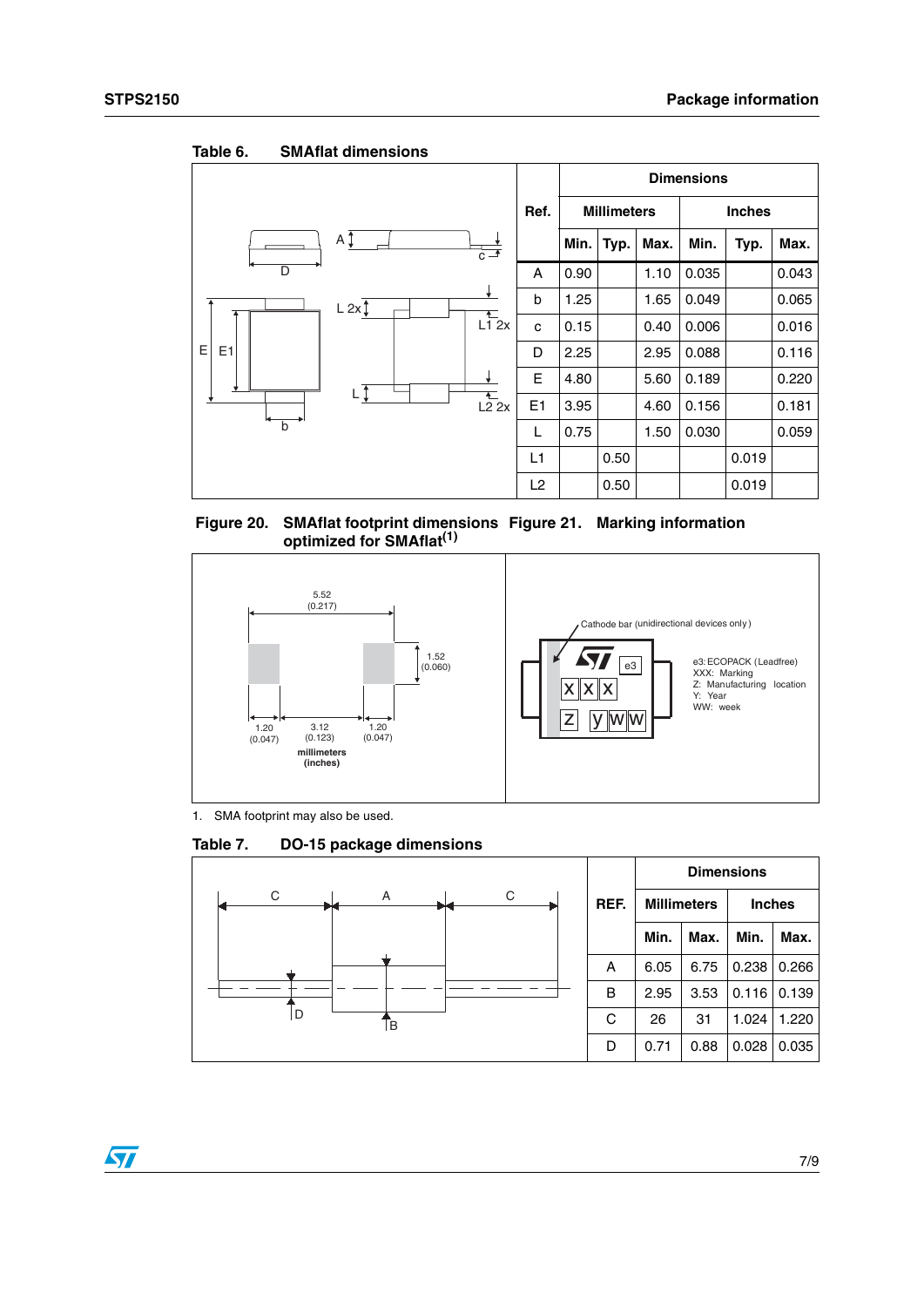|                     |                         |                |      |                    |      | <b>Dimensions</b> |               |       |
|---------------------|-------------------------|----------------|------|--------------------|------|-------------------|---------------|-------|
|                     |                         | Ref.           |      | <b>Millimeters</b> |      |                   | <b>Inches</b> |       |
| ΑĮ                  | $\overrightarrow{c}$    |                | Min. | Typ.               | Max. | Min.              | Typ.          | Max.  |
| D                   |                         | A              | 0.90 |                    | 1.10 | 0.035             |               | 0.043 |
| L 2x                | $\ddotmark$             | b              | 1.25 |                    | 1.65 | 0.049             |               | 0.065 |
|                     | $\frac{1}{\sqrt{1}}$ 2x | C              | 0.15 |                    | 0.40 | 0.006             |               | 0.016 |
| E<br>E <sub>1</sub> |                         | D              | 2.25 |                    | 2.95 | 0.088             |               | 0.116 |
|                     |                         | E.             | 4.80 |                    | 5.60 | 0.189             |               | 0.220 |
| Lţ                  | $\frac{1}{12}$ 2x       | E <sub>1</sub> | 3.95 |                    | 4.60 | 0.156             |               | 0.181 |
| $\overline{b}$      |                         | L              | 0.75 |                    | 1.50 | 0.030             |               | 0.059 |
|                     |                         | L1             |      | 0.50               |      |                   | 0.019         |       |
|                     |                         | L <sub>2</sub> |      | 0.50               |      |                   | 0.019         |       |

Table 6. **SMAflat dimensions** 





1. SMA footprint may also be used.

#### Table 7. **Table 7. DO-15 package dimensions**

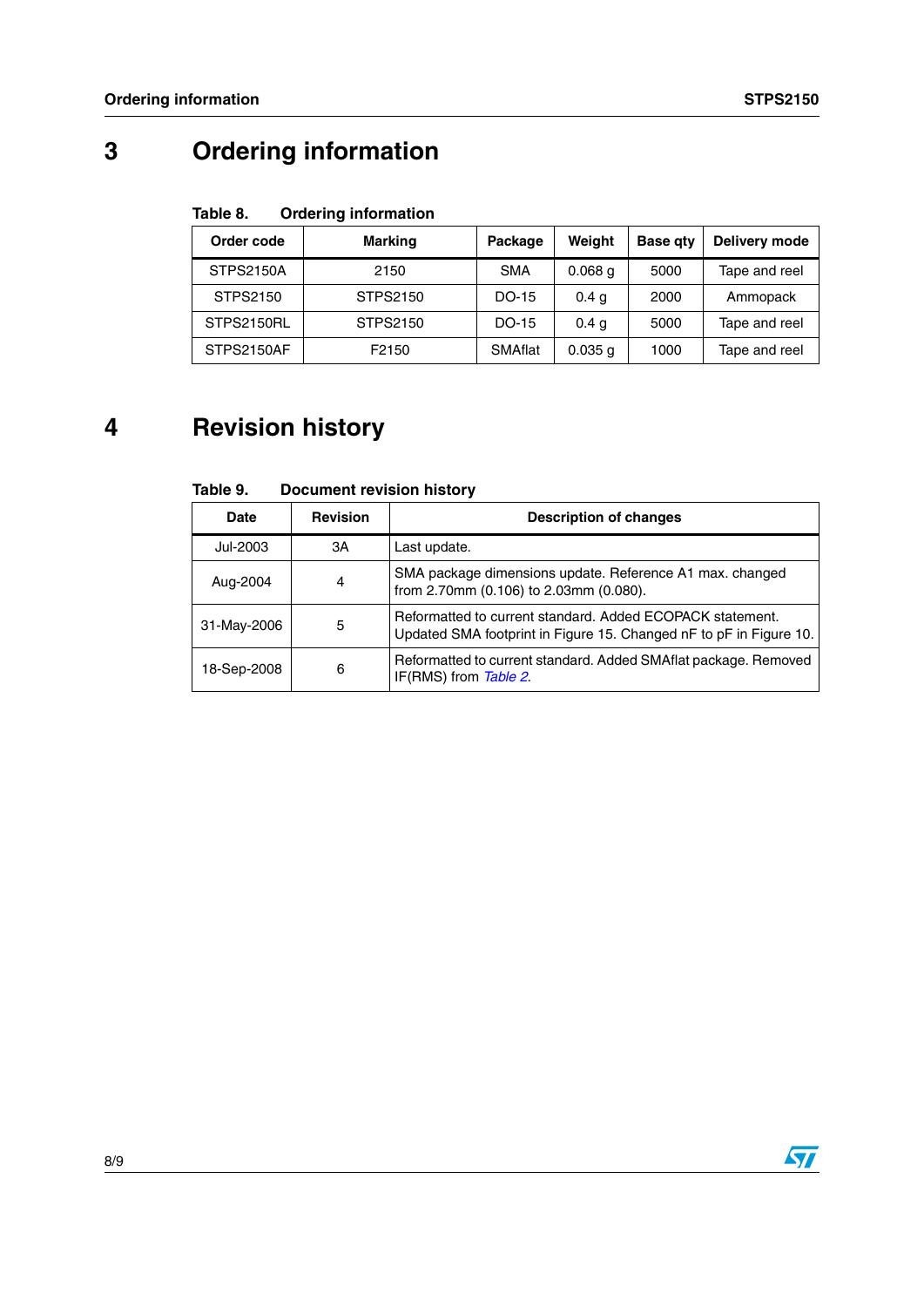# **3 Ordering information**

#### Table 8. **Ordering information**

| Order code       | Marking  | Package    | Weight           | <b>Base gty</b> | Delivery mode |
|------------------|----------|------------|------------------|-----------------|---------------|
| <b>STPS2150A</b> | 2150     | <b>SMA</b> | $0.068$ a        | 5000            | Tape and reel |
| STPS2150         | STPS2150 | DO-15      | 0.4 <sub>q</sub> | 2000            | Ammopack      |
| STPS2150RL       | STPS2150 | DO-15      | 0.4 <sub>g</sub> | 5000            | Tape and reel |
| STPS2150AF       | F2150    | SMAflat    | $0.035$ g        | 1000            | Tape and reel |

# **4 Revision history**

| Table 9. | <b>Document revision history</b> |
|----------|----------------------------------|
|----------|----------------------------------|

| Date        | <b>Revision</b> | <b>Description of changes</b>                                                                                                   |
|-------------|-----------------|---------------------------------------------------------------------------------------------------------------------------------|
| Jul-2003    | ЗΑ              | Last update.                                                                                                                    |
| Aug-2004    | 4               | SMA package dimensions update. Reference A1 max. changed<br>from 2.70mm (0.106) to 2.03mm (0.080).                              |
| 31-May-2006 | 5               | Reformatted to current standard. Added ECOPACK statement.<br>Updated SMA footprint in Figure 15. Changed nF to pF in Figure 10. |
| 18-Sep-2008 | 6               | Reformatted to current standard. Added SMAflat package. Removed<br>IF(RMS) from Table 2.                                        |